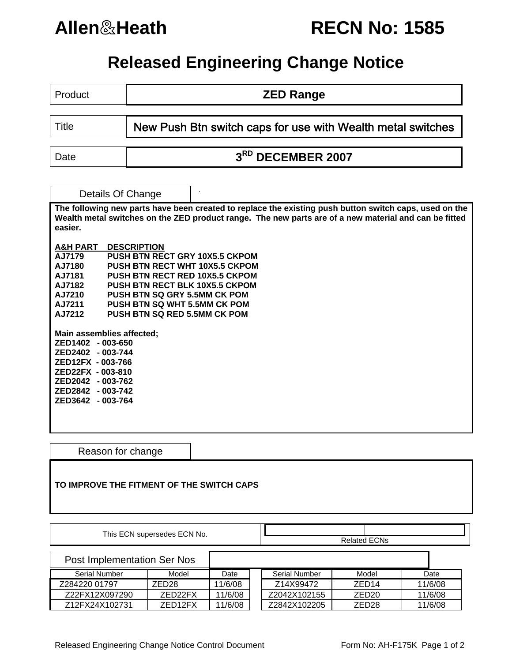# **Allen**&**Heath RECN No: 1585**

## **Released Engineering Change Notice**

Product **COVID-10 ZED Range** 

Title **New Push Btn switch caps for use with Wealth metal switches** 

Date **1 3<sup>RD</sup> DECEMBER 2007** 

Details Of Change **The following new parts have been created to replace the existing push button switch caps, used on the Wealth metal switches on the ZED product range. The new parts are of a new material and can be fitted easier. A&H PART DESCRIPTION AJ7179 PUSH BTN RECT GRY 10X5.5 CKPOM AJ7180 PUSH BTN RECT WHT 10X5.5 CKPOM**  AJ7181 PUSH BTN RECT RED 10X5.5 CKPOM<br>AJ7182 PUSH BTN RECT BLK 10X5.5 CKPOM<br>AJ7210 PUSH BTN SQ GRY 5.5MM CK POM<br>AJ7211 PUSH BTN SQ WHT 5.5MM CK POM **PUSH BTN RECT BLK 10X5.5 CKPOM PUSH BTN SQ GRY 5.5MM CK POM AJ7211 PUSH BTN SQ WHT 5.5MM CK POM PUSH BTN SQ RED 5.5MM CK POM Main assemblies affected; ZED1402 - 003-650 ZED2402 - 003-744 ZED12FX - 003-766 ZED22FX - 003-810 ZED2042 - 003-762 ZED2842 - 003-742 ZED3642 - 003-764** 

Reason for change

### **TO IMPROVE THE FITMENT OF THE SWITCH CAPS**

| This ECN supersedes ECN No. |                   |         |  |                     |                   |         |  |  |
|-----------------------------|-------------------|---------|--|---------------------|-------------------|---------|--|--|
|                             |                   |         |  | <b>Related ECNs</b> |                   |         |  |  |
| Post Implementation Ser Nos |                   |         |  |                     |                   |         |  |  |
| Serial Number               | Model             | Date    |  | Serial Number       | Model             | Date    |  |  |
| Z284220 01797               | ZED <sub>28</sub> | 11/6/08 |  | Z14X99472           | ZED <sub>14</sub> | 11/6/08 |  |  |
| Z22FX12X097290              | ZED22FX           | 11/6/08 |  | Z2042X102155        | ZED <sub>20</sub> | 11/6/08 |  |  |
| Z12FX24X102731              | ZED12FX           | 11/6/08 |  | Z2842X102205        | ZED <sub>28</sub> | 11/6/08 |  |  |